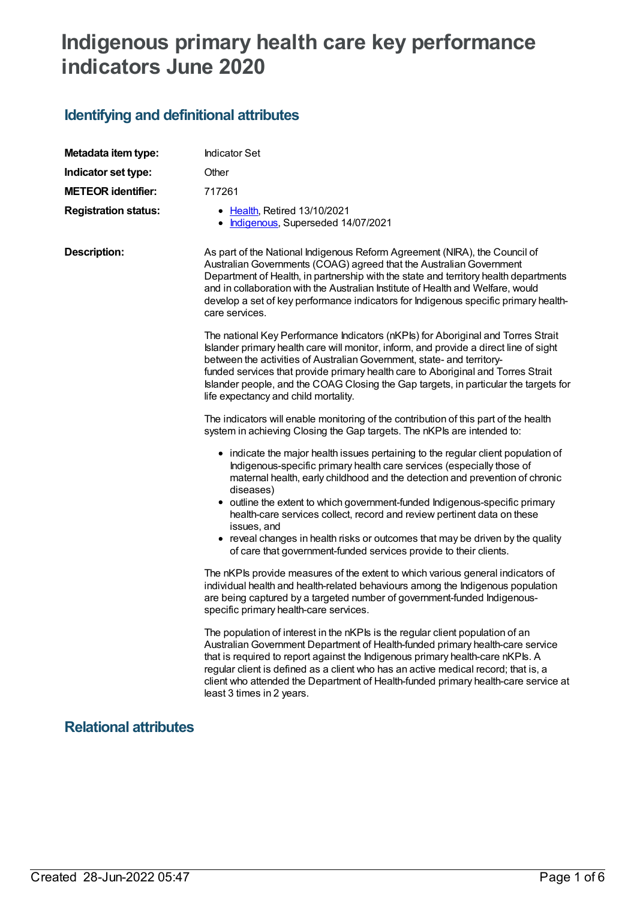# **Indigenous primary health care key performance indicators June 2020**

# **Identifying and definitional attributes**

| Metadata item type:         | <b>Indicator Set</b>                                                                                                                                                                                                                                                                                                                                                                                                                                                    |  |
|-----------------------------|-------------------------------------------------------------------------------------------------------------------------------------------------------------------------------------------------------------------------------------------------------------------------------------------------------------------------------------------------------------------------------------------------------------------------------------------------------------------------|--|
| Indicator set type:         | Other                                                                                                                                                                                                                                                                                                                                                                                                                                                                   |  |
| <b>METEOR identifier:</b>   | 717261                                                                                                                                                                                                                                                                                                                                                                                                                                                                  |  |
| <b>Registration status:</b> | • Health, Retired 13/10/2021<br>Indigenous, Superseded 14/07/2021                                                                                                                                                                                                                                                                                                                                                                                                       |  |
| <b>Description:</b>         | As part of the National Indigenous Reform Agreement (NIRA), the Council of<br>Australian Governments (COAG) agreed that the Australian Government<br>Department of Health, in partnership with the state and territory health departments<br>and in collaboration with the Australian Institute of Health and Welfare, would<br>develop a set of key performance indicators for Indigenous specific primary health-<br>care services.                                   |  |
|                             | The national Key Performance Indicators (nKPIs) for Aboriginal and Torres Strait<br>Islander primary health care will monitor, inform, and provide a direct line of sight<br>between the activities of Australian Government, state- and territory-<br>funded services that provide primary health care to Aboriginal and Torres Strait<br>Islander people, and the COAG Closing the Gap targets, in particular the targets for<br>life expectancy and child mortality. |  |
|                             | The indicators will enable monitoring of the contribution of this part of the health<br>system in achieving Closing the Gap targets. The nKPIs are intended to:                                                                                                                                                                                                                                                                                                         |  |
|                             | • indicate the major health issues pertaining to the regular client population of<br>Indigenous-specific primary health care services (especially those of<br>maternal health, early childhood and the detection and prevention of chronic<br>diseases)<br>• outline the extent to which government-funded Indigenous-specific primary<br>health-care services collect, record and review pertinent data on these<br>issues, and                                        |  |
|                             | • reveal changes in health risks or outcomes that may be driven by the quality<br>of care that government-funded services provide to their clients.                                                                                                                                                                                                                                                                                                                     |  |
|                             | The nKPIs provide measures of the extent to which various general indicators of<br>individual health and health-related behaviours among the Indigenous population<br>are being captured by a targeted number of government-funded Indigenous-<br>specific primary health-care services.                                                                                                                                                                                |  |
|                             | The population of interest in the nKPIs is the regular client population of an<br>Australian Government Department of Health-funded primary health-care service<br>that is required to report against the Indigenous primary health-care nKPIs. A<br>regular client is defined as a client who has an active medical record; that is, a<br>client who attended the Department of Health-funded primary health-care service at<br>least 3 times in 2 years.              |  |
|                             |                                                                                                                                                                                                                                                                                                                                                                                                                                                                         |  |

#### **Relational attributes**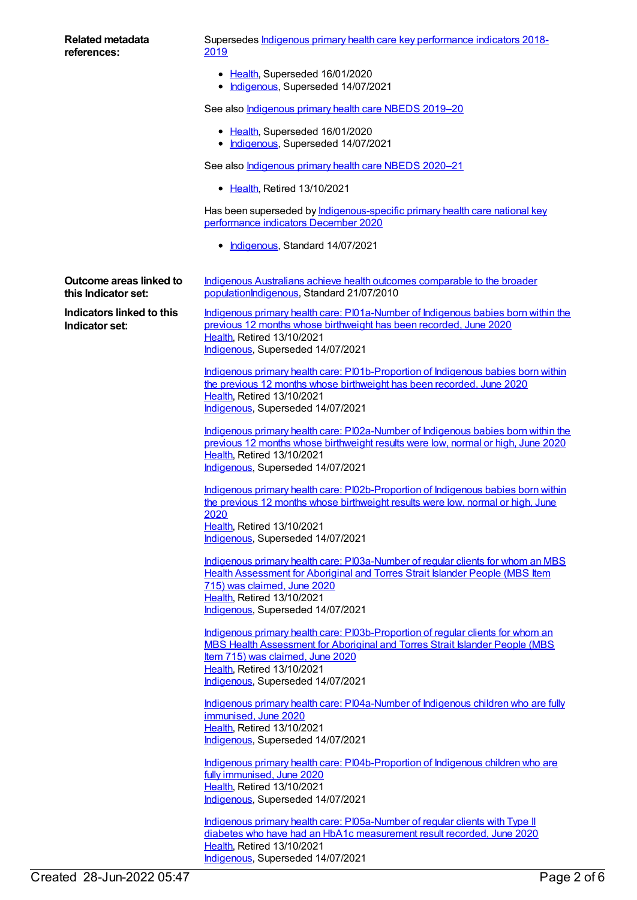| <b>Related metadata</b><br>references:                | Supersedes Indigenous primary health care key performance indicators 2018-<br><u>2019</u>                                                                                                                                                |
|-------------------------------------------------------|------------------------------------------------------------------------------------------------------------------------------------------------------------------------------------------------------------------------------------------|
|                                                       | • Health, Superseded 16/01/2020<br>• Indigenous, Superseded 14/07/2021                                                                                                                                                                   |
|                                                       | See also Indigenous primary health care NBEDS 2019-20                                                                                                                                                                                    |
|                                                       | • Health, Superseded 16/01/2020<br>• Indigenous, Superseded 14/07/2021                                                                                                                                                                   |
|                                                       | See also Indigenous primary health care NBEDS 2020-21                                                                                                                                                                                    |
|                                                       | • Health, Retired 13/10/2021                                                                                                                                                                                                             |
|                                                       | Has been superseded by <b>Indigenous-specific primary health care national key</b><br>performance indicators December 2020                                                                                                               |
|                                                       | • Indigenous, Standard 14/07/2021                                                                                                                                                                                                        |
| <b>Outcome areas linked to</b><br>this Indicator set: | Indigenous Australians achieve health outcomes comparable to the broader<br>populationIndigenous, Standard 21/07/2010                                                                                                                    |
| <b>Indicators linked to this</b><br>Indicator set:    | Indigenous primary health care: PI01a-Number of Indigenous babies born within the<br>previous 12 months whose birthweight has been recorded, June 2020<br>Health, Retired 13/10/2021<br>Indigenous, Superseded 14/07/2021                |
|                                                       |                                                                                                                                                                                                                                          |
|                                                       | Indigenous primary health care: PI01b-Proportion of Indigenous babies born within<br>the previous 12 months whose birthweight has been recorded, June 2020<br>Health, Retired 13/10/2021                                                 |
|                                                       | Indigenous, Superseded 14/07/2021                                                                                                                                                                                                        |
|                                                       | Indigenous primary health care: PI02a-Number of Indigenous babies born within the<br>previous 12 months whose birthweight results were low, normal or high, June 2020<br>Health, Retired 13/10/2021<br>Indigenous, Superseded 14/07/2021 |
|                                                       | Indigenous primary health care: PI02b-Proportion of Indigenous babies born within<br>the previous 12 months whose birthweight results were low, normal or high, June<br>2020                                                             |
|                                                       | Health, Retired 13/10/2021<br>Indigenous, Superseded 14/07/2021                                                                                                                                                                          |
|                                                       |                                                                                                                                                                                                                                          |
|                                                       | Indigenous primary health care: PI03a-Number of regular clients for whom an MBS<br>Health Assessment for Aboriginal and Torres Strait Islander People (MBS Item<br>715) was claimed, June 2020                                           |
|                                                       | Health, Retired 13/10/2021<br>Indigenous, Superseded 14/07/2021                                                                                                                                                                          |
|                                                       | Indigenous primary health care: PI03b-Proportion of regular clients for whom an                                                                                                                                                          |
|                                                       | MBS Health Assessment for Aboriginal and Torres Strait Islander People (MBS<br>Item 715) was claimed, June 2020                                                                                                                          |
|                                                       | Health, Retired 13/10/2021<br>Indigenous, Superseded 14/07/2021                                                                                                                                                                          |
|                                                       | Indigenous primary health care: PI04a-Number of Indigenous children who are fully                                                                                                                                                        |
|                                                       | immunised, June 2020<br>Health, Retired 13/10/2021                                                                                                                                                                                       |
|                                                       | Indigenous, Superseded 14/07/2021                                                                                                                                                                                                        |
|                                                       | Indigenous primary health care: PI04b-Proportion of Indigenous children who are<br>fully immunised, June 2020                                                                                                                            |
|                                                       | Health, Retired 13/10/2021<br>Indigenous, Superseded 14/07/2021                                                                                                                                                                          |
|                                                       | Indigenous primary health care: PI05a-Number of regular clients with Type II                                                                                                                                                             |
|                                                       | diabetes who have had an HbA1c measurement result recorded, June 2020<br>Health, Retired 13/10/2021                                                                                                                                      |

[Indigenous](https://meteor.aihw.gov.au/RegistrationAuthority/6), Superseded 14/07/2021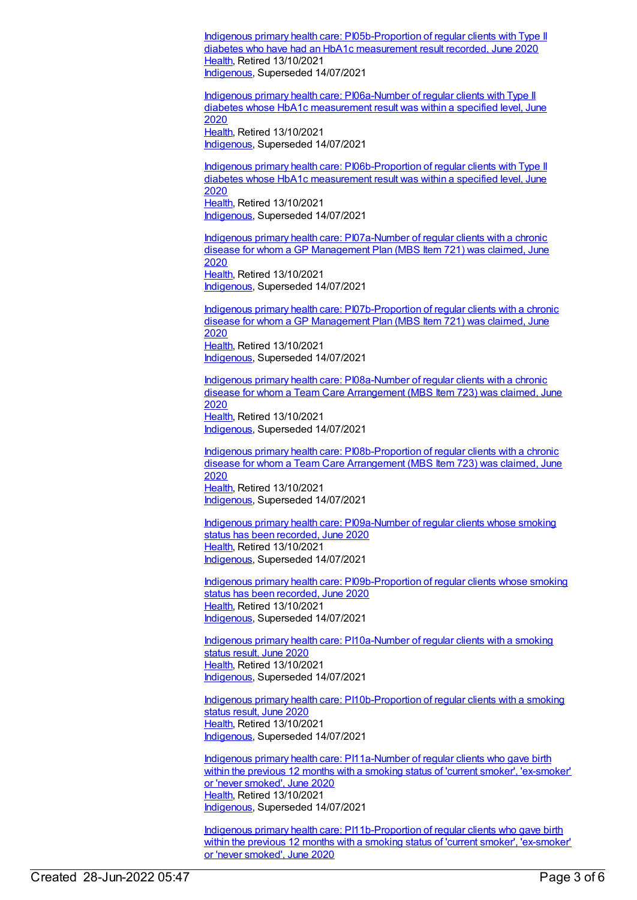Indigenous primary health care: [PI05b-Proportion](https://meteor.aihw.gov.au/content/717285) of regular clients with Type II diabetes who have had an HbA1c measurement result recorded, June 2020 [Health](https://meteor.aihw.gov.au/RegistrationAuthority/12), Retired 13/10/2021 [Indigenous](https://meteor.aihw.gov.au/RegistrationAuthority/6), Superseded 14/07/2021

Indigenous primary health care: [PI06a-Number](https://meteor.aihw.gov.au/content/717287) of regular clients with Type II diabetes whose HbA1c measurement result was within a specified level, June 2020 [Health](https://meteor.aihw.gov.au/RegistrationAuthority/12), Retired 13/10/2021 [Indigenous](https://meteor.aihw.gov.au/RegistrationAuthority/6), Superseded 14/07/2021

Indigenous primary health care: [PI06b-Proportion](https://meteor.aihw.gov.au/content/717289) of regular clients with Type II diabetes whose HbA1c measurement result was within a specified level, June 2020 [Health](https://meteor.aihw.gov.au/RegistrationAuthority/12), Retired 13/10/2021 [Indigenous](https://meteor.aihw.gov.au/RegistrationAuthority/6), Superseded 14/07/2021

Indigenous primary health care: [PI07a-Number](https://meteor.aihw.gov.au/content/717292) of regular clients with a chronic disease for whom a GP Management Plan (MBS Item 721) was claimed, June 2020 [Health](https://meteor.aihw.gov.au/RegistrationAuthority/12), Retired 13/10/2021 [Indigenous](https://meteor.aihw.gov.au/RegistrationAuthority/6), Superseded 14/07/2021

Indigenous primary health care: [PI07b-Proportion](https://meteor.aihw.gov.au/content/717294) of regular clients with a chronic disease for whom a GP Management Plan (MBS Item 721) was claimed, June 2020 [Health](https://meteor.aihw.gov.au/RegistrationAuthority/12), Retired 13/10/2021 [Indigenous](https://meteor.aihw.gov.au/RegistrationAuthority/6), Superseded 14/07/2021

Indigenous primary health care: [PI08a-Number](https://meteor.aihw.gov.au/content/717296) of regular clients with a chronic disease for whom a Team Care Arrangement (MBS Item 723) was claimed, June 2020 [Health](https://meteor.aihw.gov.au/RegistrationAuthority/12), Retired 13/10/2021 [Indigenous](https://meteor.aihw.gov.au/RegistrationAuthority/6), Superseded 14/07/2021

Indigenous primary health care: [PI08b-Proportion](https://meteor.aihw.gov.au/content/717298) of regular clients with a chronic disease for whom a Team Care Arrangement (MBS Item 723) was claimed, June 2020 [Health](https://meteor.aihw.gov.au/RegistrationAuthority/12), Retired 13/10/2021 [Indigenous](https://meteor.aihw.gov.au/RegistrationAuthority/6), Superseded 14/07/2021

Indigenous primary health care: [PI09a-Number](https://meteor.aihw.gov.au/content/717300) of regular clients whose smoking status has been recorded, June 2020 [Health](https://meteor.aihw.gov.au/RegistrationAuthority/12), Retired 13/10/2021 [Indigenous](https://meteor.aihw.gov.au/RegistrationAuthority/6), Superseded 14/07/2021

Indigenous primary health care: [PI09b-Proportion](https://meteor.aihw.gov.au/content/717302) of regular clients whose smoking status has been recorded, June 2020 [Health](https://meteor.aihw.gov.au/RegistrationAuthority/12), Retired 13/10/2021 [Indigenous](https://meteor.aihw.gov.au/RegistrationAuthority/6), Superseded 14/07/2021

Indigenous primary health care: [PI10a-Number](https://meteor.aihw.gov.au/content/717304) of regular clients with a smoking status result, June 2020 [Health](https://meteor.aihw.gov.au/RegistrationAuthority/12), Retired 13/10/2021 [Indigenous](https://meteor.aihw.gov.au/RegistrationAuthority/6), Superseded 14/07/2021

Indigenous primary health care: [PI10b-Proportion](https://meteor.aihw.gov.au/content/717306) of regular clients with a smoking status result, June 2020 [Health](https://meteor.aihw.gov.au/RegistrationAuthority/12), Retired 13/10/2021 [Indigenous](https://meteor.aihw.gov.au/RegistrationAuthority/6), Superseded 14/07/2021

Indigenous primary health care: [PI11a-Number](https://meteor.aihw.gov.au/content/717308) of regular clients who gave birth within the previous 12 months with a smoking status of 'current smoker', 'ex-smoker' or 'never smoked', June 2020 [Health](https://meteor.aihw.gov.au/RegistrationAuthority/12), Retired 13/10/2021 [Indigenous](https://meteor.aihw.gov.au/RegistrationAuthority/6), Superseded 14/07/2021

Indigenous primary health care: [PI11b-Proportion](https://meteor.aihw.gov.au/content/717310) of regular clients who gave birth within the previous 12 months with a smoking status of 'current smoker', 'ex-smoker' or 'never smoked', June 2020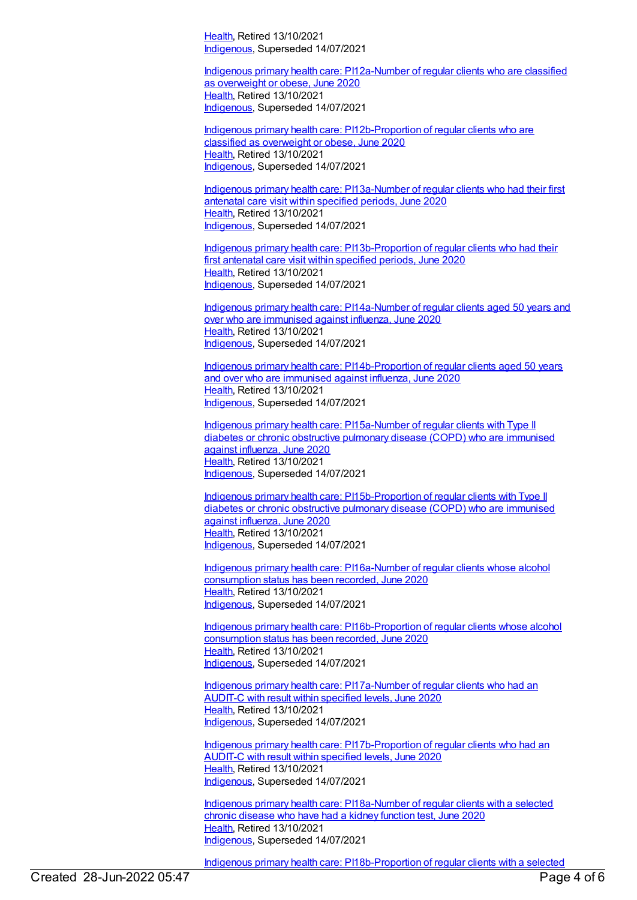[Health](https://meteor.aihw.gov.au/RegistrationAuthority/12), Retired 13/10/2021 [Indigenous](https://meteor.aihw.gov.au/RegistrationAuthority/6), Superseded 14/07/2021

Indigenous primary health care: [PI12a-Number](https://meteor.aihw.gov.au/content/717312) of regular clients who are classified as overweight or obese, June 2020 [Health](https://meteor.aihw.gov.au/RegistrationAuthority/12), Retired 13/10/2021 [Indigenous](https://meteor.aihw.gov.au/RegistrationAuthority/6), Superseded 14/07/2021

Indigenous primary health care: [PI12b-Proportion](https://meteor.aihw.gov.au/content/717314) of regular clients who are classified as overweight or obese, June 2020 [Health](https://meteor.aihw.gov.au/RegistrationAuthority/12), Retired 13/10/2021 [Indigenous](https://meteor.aihw.gov.au/RegistrationAuthority/6), Superseded 14/07/2021

Indigenous primary health care: [PI13a-Number](https://meteor.aihw.gov.au/content/717316) of regular clients who had their first antenatal care visit within specified periods, June 2020 [Health](https://meteor.aihw.gov.au/RegistrationAuthority/12), Retired 13/10/2021 [Indigenous](https://meteor.aihw.gov.au/RegistrationAuthority/6), Superseded 14/07/2021

Indigenous primary health care: [PI13b-Proportion](https://meteor.aihw.gov.au/content/717318) of regular clients who had their first antenatal care visit within specified periods, June 2020 [Health](https://meteor.aihw.gov.au/RegistrationAuthority/12), Retired 13/10/2021 [Indigenous](https://meteor.aihw.gov.au/RegistrationAuthority/6), Superseded 14/07/2021

Indigenous primary health care: [PI14a-Number](https://meteor.aihw.gov.au/content/717320) of regular clients aged 50 years and over who are immunised against influenza, June 2020 [Health](https://meteor.aihw.gov.au/RegistrationAuthority/12), Retired 13/10/2021 [Indigenous](https://meteor.aihw.gov.au/RegistrationAuthority/6), Superseded 14/07/2021

Indigenous primary health care: [PI14b-Proportion](https://meteor.aihw.gov.au/content/717322) of regular clients aged 50 years and over who are immunised against influenza, June 2020 [Health](https://meteor.aihw.gov.au/RegistrationAuthority/12), Retired 13/10/2021 [Indigenous](https://meteor.aihw.gov.au/RegistrationAuthority/6), Superseded 14/07/2021

Indigenous primary health care: [PI15a-Number](https://meteor.aihw.gov.au/content/717324) of regular clients with Type II diabetes or chronic obstructive pulmonary disease (COPD) who are immunised against influenza, June 2020 [Health](https://meteor.aihw.gov.au/RegistrationAuthority/12), Retired 13/10/2021 [Indigenous](https://meteor.aihw.gov.au/RegistrationAuthority/6), Superseded 14/07/2021

Indigenous primary health care: [PI15b-Proportion](https://meteor.aihw.gov.au/content/717326) of regular clients with Type II diabetes or chronic obstructive pulmonary disease (COPD) who are immunised against influenza, June 2020 [Health](https://meteor.aihw.gov.au/RegistrationAuthority/12), Retired 13/10/2021 [Indigenous](https://meteor.aihw.gov.au/RegistrationAuthority/6), Superseded 14/07/2021

Indigenous primary health care: [PI16a-Number](https://meteor.aihw.gov.au/content/717330) of regular clients whose alcohol consumption status has been recorded, June 2020 [Health](https://meteor.aihw.gov.au/RegistrationAuthority/12), Retired 13/10/2021 [Indigenous](https://meteor.aihw.gov.au/RegistrationAuthority/6), Superseded 14/07/2021

Indigenous primary health care: [PI16b-Proportion](https://meteor.aihw.gov.au/content/717332) of regular clients whose alcohol consumption status has been recorded, June 2020 [Health](https://meteor.aihw.gov.au/RegistrationAuthority/12), Retired 13/10/2021 [Indigenous](https://meteor.aihw.gov.au/RegistrationAuthority/6), Superseded 14/07/2021

Indigenous primary health care: [PI17a-Number](https://meteor.aihw.gov.au/content/717334) of regular clients who had an AUDIT-C with result within specified levels, June 2020 [Health](https://meteor.aihw.gov.au/RegistrationAuthority/12), Retired 13/10/2021 [Indigenous](https://meteor.aihw.gov.au/RegistrationAuthority/6), Superseded 14/07/2021

Indigenous primary health care: [PI17b-Proportion](https://meteor.aihw.gov.au/content/717336) of regular clients who had an AUDIT-C with result within specified levels, June 2020 [Health](https://meteor.aihw.gov.au/RegistrationAuthority/12), Retired 13/10/2021 [Indigenous](https://meteor.aihw.gov.au/RegistrationAuthority/6), Superseded 14/07/2021

Indigenous primary health care: [PI18a-Number](https://meteor.aihw.gov.au/content/717338) of regular clients with a selected chronic disease who have had a kidney function test, June 2020 [Health](https://meteor.aihw.gov.au/RegistrationAuthority/12), Retired 13/10/2021 [Indigenous](https://meteor.aihw.gov.au/RegistrationAuthority/6), Superseded 14/07/2021

Indigenous primary health care: [PI18b-Proportion](https://meteor.aihw.gov.au/content/717340) of regular clients with a selected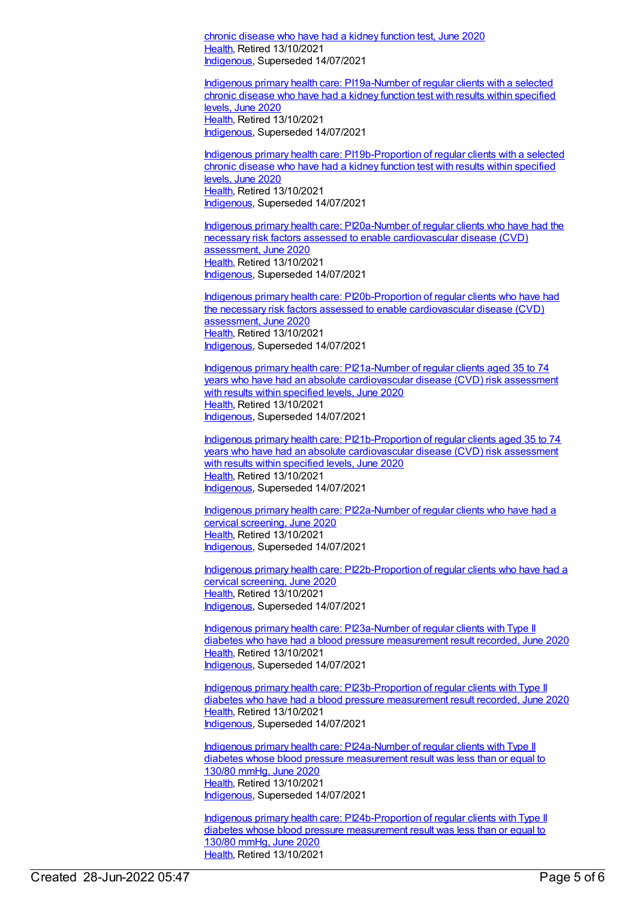chronic disease who have had a kidney function test, June 2020 [Health](https://meteor.aihw.gov.au/RegistrationAuthority/12), Retired 13/10/2021 [Indigenous](https://meteor.aihw.gov.au/RegistrationAuthority/6), Superseded 14/07/2021

Indigenous primary health care: [PI19a-Number](https://meteor.aihw.gov.au/content/717342) of regular clients with a selected chronic disease who have had a kidney function test with results within specified levels, June 2020 [Health](https://meteor.aihw.gov.au/RegistrationAuthority/12), Retired 13/10/2021 [Indigenous](https://meteor.aihw.gov.au/RegistrationAuthority/6), Superseded 14/07/2021

Indigenous primary health care: [PI19b-Proportion](https://meteor.aihw.gov.au/content/717344) of regular clients with a selected chronic disease who have had a kidney function test with results within specified levels, June 2020 [Health](https://meteor.aihw.gov.au/RegistrationAuthority/12), Retired 13/10/2021 [Indigenous](https://meteor.aihw.gov.au/RegistrationAuthority/6), Superseded 14/07/2021

Indigenous primary health care: PI20a-Number of regular clients who have had the necessary risk factors assessed to enable [cardiovascular](https://meteor.aihw.gov.au/content/717348) disease (CVD) assessment, June 2020 [Health](https://meteor.aihw.gov.au/RegistrationAuthority/12), Retired 13/10/2021 [Indigenous](https://meteor.aihw.gov.au/RegistrationAuthority/6), Superseded 14/07/2021

Indigenous primary health care: [PI20b-Proportion](https://meteor.aihw.gov.au/content/717350) of regular clients who have had the necessary risk factors assessed to enable cardiovascular disease (CVD) assessment, June 2020 [Health](https://meteor.aihw.gov.au/RegistrationAuthority/12), Retired 13/10/2021 [Indigenous](https://meteor.aihw.gov.au/RegistrationAuthority/6), Superseded 14/07/2021

Indigenous primary health care: PI21a-Number of regular clients aged 35 to 74 years who have had an absolute [cardiovascular](https://meteor.aihw.gov.au/content/717352) disease (CVD) risk assessment with results within specified levels, June 2020 [Health](https://meteor.aihw.gov.au/RegistrationAuthority/12), Retired 13/10/2021 [Indigenous](https://meteor.aihw.gov.au/RegistrationAuthority/6), Superseded 14/07/2021

Indigenous primary health care: [PI21b-Proportion](https://meteor.aihw.gov.au/content/717354) of regular clients aged 35 to 74 years who have had an absolute cardiovascular disease (CVD) risk assessment with results within specified levels, June 2020 [Health](https://meteor.aihw.gov.au/RegistrationAuthority/12), Retired 13/10/2021 [Indigenous](https://meteor.aihw.gov.au/RegistrationAuthority/6), Superseded 14/07/2021

Indigenous primary health care: [PI22a-Number](https://meteor.aihw.gov.au/content/717356) of regular clients who have had a cervical screening, June 2020 [Health](https://meteor.aihw.gov.au/RegistrationAuthority/12), Retired 13/10/2021 [Indigenous](https://meteor.aihw.gov.au/RegistrationAuthority/6), Superseded 14/07/2021

Indigenous primary health care: [PI22b-Proportion](https://meteor.aihw.gov.au/content/717358) of regular clients who have had a cervical screening, June 2020 [Health](https://meteor.aihw.gov.au/RegistrationAuthority/12), Retired 13/10/2021 [Indigenous](https://meteor.aihw.gov.au/RegistrationAuthority/6), Superseded 14/07/2021

Indigenous primary health care: [PI23a-Number](https://meteor.aihw.gov.au/content/717360) of regular clients with Type II diabetes who have had a blood pressure measurement result recorded, June 2020 [Health](https://meteor.aihw.gov.au/RegistrationAuthority/12), Retired 13/10/2021 [Indigenous](https://meteor.aihw.gov.au/RegistrationAuthority/6), Superseded 14/07/2021

Indigenous primary health care: [PI23b-Proportion](https://meteor.aihw.gov.au/content/717362) of regular clients with Type II diabetes who have had a blood pressure measurement result recorded, June 2020 [Health](https://meteor.aihw.gov.au/RegistrationAuthority/12), Retired 13/10/2021 [Indigenous](https://meteor.aihw.gov.au/RegistrationAuthority/6), Superseded 14/07/2021

Indigenous primary health care: [PI24a-Number](https://meteor.aihw.gov.au/content/717366) of regular clients with Type II diabetes whose blood pressure measurement result was less than or equal to 130/80 mmHg, June 2020 [Health](https://meteor.aihw.gov.au/RegistrationAuthority/12), Retired 13/10/2021 [Indigenous](https://meteor.aihw.gov.au/RegistrationAuthority/6), Superseded 14/07/2021

Indigenous primary health care: [PI24b-Proportion](https://meteor.aihw.gov.au/content/717368) of regular clients with Type II diabetes whose blood pressure measurement result was less than or equal to 130/80 mmHg, June 2020 [Health](https://meteor.aihw.gov.au/RegistrationAuthority/12), Retired 13/10/2021